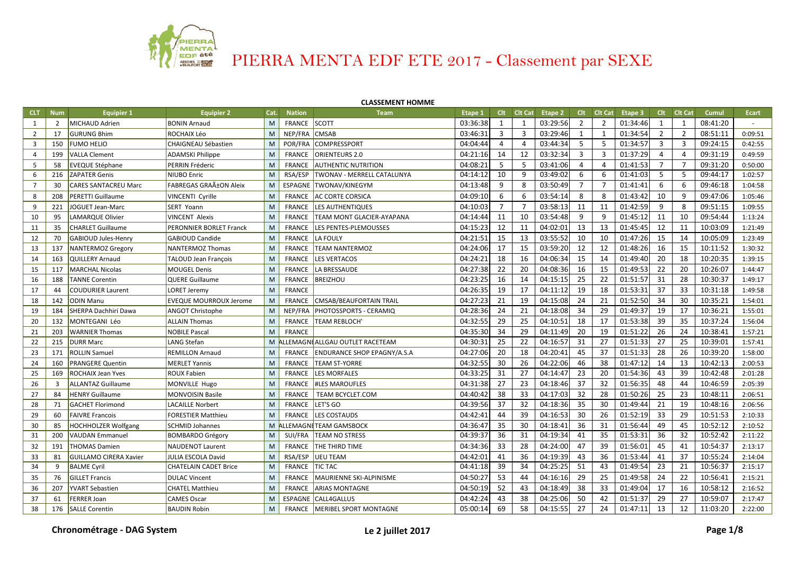

## **CLASSEMENT HOMME**

| <b>CLT</b>     | <b>Num</b>     | <b>Equipier 1</b>             | <b>Equipier 2</b>             | Cat. | <b>Nation</b> | <b>Team</b>                               | Etape 1  |                | Clt Clt Cat    | Etape 2  |                | Clt Clt Cat | Etape 3  | Clt            | <b>Clt Cat</b> | Cumul    | <b>Ecart</b> |
|----------------|----------------|-------------------------------|-------------------------------|------|---------------|-------------------------------------------|----------|----------------|----------------|----------|----------------|-------------|----------|----------------|----------------|----------|--------------|
| 1              | $\overline{2}$ | MICHAUD Adrien                | <b>BONIN Arnaud</b>           | M    | <b>FRANCE</b> | SCOTT                                     | 03:36:38 | 1              | 1              | 03:29:56 | $\overline{2}$ | 2           | 01:34:46 | 1              | 1              | 08:41:20 |              |
| $\overline{2}$ | 17             | <b>GURUNG Bhim</b>            | <b>ROCHAIX Léo</b>            | M    | NEP/FRA CMSAB |                                           | 03:46:31 | 3              | $\overline{3}$ | 03:29:46 | 1              | 1           | 01:34:54 | $\overline{2}$ | $\overline{2}$ | 08:51:11 | 0:09:51      |
| $\overline{3}$ | 150            | FUMO HELIO                    | CHAIGNEAU Sébastien           | M    |               | POR/FRA COMPRESSPORT                      | 04:04:44 | 4              | 4              | 03:44:34 | 5              | 5           | 01:34:57 | 3              | 3              | 09:24:15 | 0:42:55      |
| 4              | 199            | <b>VALLA Clement</b>          | <b>ADAMSKI Philippe</b>       | M    | FRANCE        | <b>ORIENTEURS 2.0</b>                     | 04:21:16 | 14             | 12             | 03:32:34 | 3              | 3           | 01:37:29 | 4              | $\overline{4}$ | 09:31:19 | 0:49:59      |
| 5              | 58             | <b>EVEQUE Stéphane</b>        | PERRIN Fréderic               | M    | <b>FRANCE</b> | <b>AUTHENTIC NUTRITION</b>                | 04:08:21 | 5              | 5              | 03:41:06 | 4              | 4           | 01:41:53 | $\overline{7}$ | $\overline{7}$ | 09:31:20 | 0:50:00      |
| 6              | 216            | ZAPATER Genis                 | <b>NIUBO Enric</b>            | M    | RSA/ESP       | <b>TWONAV - MERRELL CATALUNYA</b>         | 04:14:12 | 10             | 9              | 03:49:02 | 6              | 6           | 01:41:03 | 5              | 5              | 09:44:17 | 1:02:57      |
| 7              | 30             | CARES SANTACREU Marc          | FABREGAS GRAñON Aleix         | M    |               | ESPAGNE TWONAV/KINEGYM                    | 04:13:48 | 9              | 8              | 03:50:49 | $\overline{7}$ | 7           | 01:41:41 | 6              | 6              | 09:46:18 | 1:04:58      |
| 8              | 208            | PERETTI Guillaume             | <b>VINCENTI Cyrille</b>       | M    | FRANCE        | <b>AC CORTE CORSICA</b>                   | 04:09:10 | 6              | 6              | 03:54:14 | 8              | 8           | 01:43:42 | 10             | 9              | 09:47:06 | 1:05:46      |
| 9              | 221            | JOGUET Jean-Marc              | SERT Yoann                    | M    | <b>FRANCE</b> | <b>LES AUTHENTIQUES</b>                   | 04:10:03 | $\overline{7}$ | $\overline{7}$ | 03:58:13 | 11             | 11          | 01:42:59 | 9              | 8              | 09:51:15 | 1:09:55      |
| 10             | 95             | LAMARQUE Olivier              | <b>VINCENT Alexis</b>         | M    | FRANCE        | TEAM MONT GLACIER-AYAPANA                 | 04:14:44 | 11             | 10             | 03:54:48 | 9              | 9           | 01:45:12 | 11             | 10             | 09:54:44 | 1:13:24      |
| 11             | 35             | <b>CHARLET Guillaume</b>      | PERONNIER BORLET Franck       | M    | FRANCE        | LES PENTES-PLEMOUSSES                     | 04:15:23 | 12             | 11             | 04:02:01 | 13             | 13          | 01:45:45 | 12             | 11             | 10:03:09 | 1:21:49      |
| 12             | 70             | GABIOUD Jules-Henry           | <b>GABIOUD Candide</b>        | M    | FRANCE        | LA FOULY                                  | 04:21:51 | 15             | 13             | 03:55:52 | 10             | 10          | 01:47:26 | 15             | 14             | 10:05:09 | 1:23:49      |
| 13             | 137            | <b>NANTERMOZ Gregory</b>      | NANTERMOZ Thomas              | M    | FRANCE        | <b>TEAM NANTERMOZ</b>                     | 04:24:06 | 17             | 15             | 03:59:20 | 12             | 12          | 01:48:26 | 16             | 15             | 10:11:52 | 1:30:32      |
| 14             | 163            | <b>QUILLERY Arnaud</b>        | <b>TALOUD Jean Francois</b>   | M    | <b>FRANCE</b> | <b>LES VERTACOS</b>                       | 04:24:21 | 18             | 16             | 04:06:34 | 15             | 14          | 01:49:40 | 20             | 18             | 10:20:35 | 1:39:15      |
| 15             | 117            | <b>MARCHAL Nicolas</b>        | <b>MOUGEL Denis</b>           | M    | <b>FRANCE</b> | LA BRESSAUDE                              | 04:27:38 | 22             | 20             | 04:08:36 | 16             | 15          | 01:49:53 | 22             | 20             | 10:26:07 | 1:44:47      |
| 16             | 188            | <b>TANNE Corentin</b>         | <b>QUERE Guillaume</b>        | M    | FRANCE        | BREIZHOU                                  | 04:23:25 | 16             | 14             | 04:15:15 | 25             | 22          | 01:51:57 | 31             | 28             | 10:30:37 | 1:49:17      |
| 17             | 44             | <b>COUDURIER Laurent</b>      | <b>LORET Jeremy</b>           | M    | <b>FRANCE</b> |                                           | 04:26:35 | 19             | 17             | 04:11:12 | 19             | 18          | 01:53:31 | 37             | 33             | 10:31:18 | 1:49:58      |
| 18             | 142            | <b>ODIN Manu</b>              | <b>EVEQUE MOURROUX Jerome</b> | M    | <b>FRANCE</b> | CMSAB/BEAUFORTAIN TRAIL                   | 04:27:23 | 21             | 19             | 04:15:08 | 24             | 21          | 01:52:50 | 34             | 30             | 10:35:21 | 1:54:01      |
| 19             | 184            | SHERPA Dachhiri Dawa          | <b>ANGOT Christophe</b>       | M    | NEP/FRA       | <b>PHOTOSSPORTS - CERAMIQ</b>             | 04:28:36 | 24             | 21             | 04:18:08 | 34             | 29          | 01:49:37 | 19             | 17             | 10:36:21 | 1:55:01      |
| 20             | 132            | MONTEGANI Léo                 | <b>ALLAIN Thomas</b>          | M    | FRANCE        | <b>TEAM REBLOCH'</b>                      | 04:32:55 | 29             | 25             | 04:10:51 | 18             | 17          | 01:53:38 | 39             | 35             | 10:37:24 | 1:56:04      |
| 21             | 203            | <b>WARNIER Thomas</b>         | <b>NOBILE Pascal</b>          | M    | <b>FRANCE</b> |                                           | 04:35:30 | 34             | 29             | 04:11:49 | 20             | 19          | 01:51:22 | 26             | 24             | 10:38:41 | 1:57:21      |
| 22             | 215            | <b>DURR Marc</b>              | LANG Stefan                   | M    |               | ALLEMAGNI ALLGAU OUTLET RACETEAM          | 04:30:31 | 25             | 22             | 04:16:57 | 31             | 27          | 01:51:33 | 27             | 25             | 10:39:01 | 1:57:41      |
| 23             | 171            | <b>ROLLIN Samuel</b>          | <b>REMILLON Arnaud</b>        | M    |               | <b>FRANCE ENDURANCE SHOP EPAGNY/A.S.A</b> | 04:27:06 | 20             | 18             | 04:20:41 | 45             | 37          | 01:51:33 | 28             | 26             | 10:39:20 | 1:58:00      |
| 24             | 160            | <b>PRANGERE Quentin</b>       | <b>MERLET Yannis</b>          | M    | FRANCE        | <b>TEAM ST-YORRE</b>                      | 04:32:55 | 30             | 26             | 04:22:06 | 46             | 38          | 01:47:12 | 14             | 13             | 10:42:13 | 2:00:53      |
| 25             | 169            | <b>ROCHAIX Jean Yves</b>      | <b>ROUX Fabien</b>            | M    | FRANCE        | <b>LES MORFALES</b>                       | 04:33:25 | 31             | 27             | 04:14:47 | 23             | 20          | 01:54:36 | 43             | 39             | 10:42:48 | 2:01:28      |
| 26             | 3              | <b>ALLANTAZ Guillaume</b>     | MONVILLE Hugo                 | M    | FRANCE        | <b>#LES MAROUFLES</b>                     | 04:31:38 | 27             | 23             | 04:18:46 | 37             | 32          | 01:56:35 | 48             | 44             | 10:46:59 | 2:05:39      |
| 27             | 84             | <b>HENRY Guillaume</b>        | <b>MONVOISIN Basile</b>       | M    | <b>FRANCE</b> | TEAM BCYCLET.COM                          | 04:40:42 | 38             | 33             | 04:17:03 | 32             | 28          | 01:50:26 | 25             | 23             | 10:48:11 | 2:06:51      |
| 28             | 71             | <b>GACHET Florimond</b>       | <b>LACAILLE Norbert</b>       | M    | FRANCE        | LET'S GO                                  | 04:39:56 | 37             | 32             | 04:18:36 | 35             | 30          | 01:49:44 | 21             | 19             | 10:48:16 | 2:06:56      |
| 29             | 60             | <b>FAIVRE Francois</b>        | <b>FORESTIER Matthieu</b>     | M    | FRANCE        | <b>LES COSTAUDS</b>                       | 04:42:41 | 44             | 39             | 04:16:53 | 30             | 26          | 01:52:19 | 33             | 29             | 10:51:53 | 2:10:33      |
| 30             | 85             | <b>HOCHHOLZER Wolfgang</b>    | <b>SCHMID Johannes</b>        | M    |               | ALLEMAGNI <mark>'</mark> TEAM GAMSBOCK    | 04:36:47 | 35             | 30             | 04:18:41 | 36             | 31          | 01:56:44 | 49             | 45             | 10:52:12 | 2:10:52      |
| 31             | 200            | <b>VAUDAN Emmanuel</b>        | <b>BOMBARDO Grégory</b>       | M    | SUI/FRA       | <b>TEAM NO STRESS</b>                     | 04:39:37 | 36             | 31             | 04:19:34 | 41             | 35          | 01:53:31 | 36             | 32             | 10:52:42 | 2:11:22      |
| 32             | 191            | THOMAS Damien                 | <b>NAUDENOT Laurent</b>       | M    | <b>FRANCE</b> | <b>THE THIRD TIME</b>                     | 04:34:36 | 33             | 28             | 04:24:00 | 47             | 39          | 01:56:01 | 45             | 41             | 10:54:37 | 2:13:17      |
| 33             | 81             | <b>GUILLAMO CIRERA Xavier</b> | <b>JULIA ESCOLA David</b>     | M    | RSA/ESP       | <b>UEU TEAM</b>                           | 04:42:01 | 41             | 36             | 04:19:39 | 43             | 36          | 01:53:44 | 41             | 37             | 10:55:24 | 2:14:04      |
| 34             | 9              | <b>BALME Cyril</b>            | <b>CHATELAIN CADET Brice</b>  | M    | FRANCE        | <b>TIC TAC</b>                            | 04:41:18 | 39             | 34             | 04:25:25 | 51             | 43          | 01:49:54 | 23             | 21             | 10:56:37 | 2:15:17      |
| 35             | 76             | <b>GILLET Francis</b>         | <b>DULAC Vincent</b>          | M    | FRANCE        | MAURIENNE SKI-ALPINISME                   | 04:50:27 | 53             | 44             | 04:16:16 | 29             | 25          | 01:49:58 | 24             | 22             | 10:56:41 | 2:15:21      |
| 36             | 207            | YVART Sebastien               | <b>CHATEL Matthieu</b>        | M    | <b>FRANCE</b> | <b>ARIAS MONTAGNE</b>                     | 04:50:19 | 52             | 43             | 04:18:49 | 38             | 33          | 01:49:04 | 17             | 16             | 10:58:12 | 2:16:52      |
| 37             | 61             | <b>FERRER Joan</b>            | <b>CAMES Oscar</b>            | M    |               | ESPAGNE CALL4GALLUS                       | 04:42:24 | 43             | 38             | 04:25:06 | 50             | 42          | 01:51:37 | 29             | 27             | 10:59:07 | 2:17:47      |
| 38             | 176            | <b>SALLE Corentin</b>         | <b>BAUDIN Robin</b>           | M    |               | FRANCE   MERIBEL SPORT MONTAGNE           | 05:00:14 | 69             | 58             | 04:15:55 | 27             | 24          | 01:47:11 | 13             | 12             | 11:03:20 | 2:22:00      |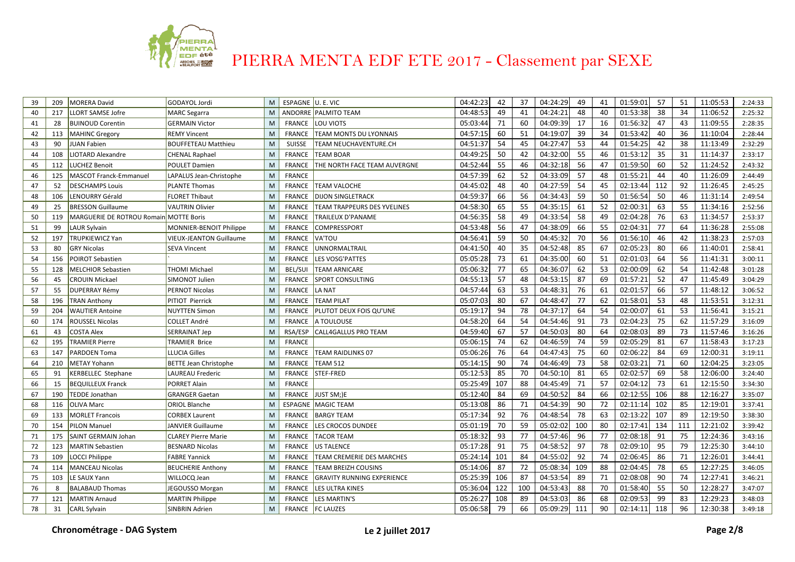

| 39 | 209 | <b>MORERA David</b>                    | GODAYOL Jordi                  | M | ESPAGNE U. E. VIC |                                   | 04:42:23 | 42  | 37  | 04:24:29 | 49  | 41 | 01:59:01 | 57  | 51  | 11:05:53 | 2:24:33 |
|----|-----|----------------------------------------|--------------------------------|---|-------------------|-----------------------------------|----------|-----|-----|----------|-----|----|----------|-----|-----|----------|---------|
| 40 | 217 | <b>LLORT SAMSE Jofre</b>               | <b>MARC Segarra</b>            | M |                   | ANDORRE PALMITO TEAM              | 04:48:53 | 49  | 41  | 04:24:21 | 48  | 40 | 01:53:38 | 38  | 34  | 11:06:52 | 2:25:32 |
| 41 | 28  | <b>BUINOUD Corentin</b>                | <b>GERMAIN Victor</b>          | M | <b>FRANCE</b>     | LOU VIOTS                         | 05:03:44 | 71  | 60  | 04:09:39 | 17  | 16 | 01:56:32 | 47  | 43  | 11:09:55 | 2:28:35 |
| 42 | 113 | <b>MAHINC Gregory</b>                  | <b>REMY Vincent</b>            | M | <b>FRANCE</b>     | TEAM MONTS DU LYONNAIS            | 04:57:15 | 60  | 51  | 04:19:07 | 39  | 34 | 01:53:42 | 40  | 36  | 11:10:04 | 2:28:44 |
| 43 | 90  | <b>JUAN Fabien</b>                     | <b>BOUFFETEAU Matthieu</b>     | M | <b>SUISSE</b>     | TEAM NEUCHAVENTURE.CH             | 04:51:37 | 54  | 45  | 04:27:47 | 53  | 44 | 01:54:25 | 42  | 38  | 11:13:49 | 2:32:29 |
| 44 | 108 | <b>IOTARD Alexandre</b>                | <b>CHENAL Raphael</b>          | M | <b>FRANCE</b>     | <b>TEAM BOAR</b>                  | 04:49:25 | 50  | 42  | 04:32:00 | 55  | 46 | 01:53:12 | 35  | 31  | 11:14:37 | 2:33:17 |
| 45 | 112 | <b>LUCHEZ Benoit</b>                   | POULET Damien                  | M | <b>FRANCE</b>     | THE NORTH FACE TEAM AUVERGNE      | 04:52:44 | 55  | 46  | 04:32:18 | 56  | 47 | 01:59:50 | 60  | 52  | 11:24:52 | 2:43:32 |
| 46 | 125 | MASCOT Franck-Emmanuel                 | LAPALUS Jean-Christophe        | M | <b>FRANCE</b>     |                                   | 04:57:39 | 62  | 52  | 04:33:09 | 57  | 48 | 01:55:21 | 44  | 40  | 11:26:09 | 2:44:49 |
| 47 | 52  | <b>DESCHAMPS Louis</b>                 | <b>PLANTE Thomas</b>           | M | <b>FRANCE</b>     | <b>TEAM VALOCHE</b>               | 04:45:02 | 48  | 40  | 04:27:59 | 54  | 45 | 02:13:44 | 112 | 92  | 11:26:45 | 2:45:25 |
| 48 | 106 | LENOURRY Gérald                        | <b>FLORET Thibaut</b>          | M | <b>FRANCE</b>     | <b>DIJON SINGLETRACK</b>          | 04:59:37 | 66  | 56  | 04:34:43 | 59  | 50 | 01:56:54 | 50  | 46  | 11:31:14 | 2:49:54 |
| 49 | 25  | <b>BRESSON Guillaume</b>               | <b>VAUTRIN Olivier</b>         | M | <b>FRANCE</b>     | TEAM TRAPPEURS DES YVELINES       | 04:58:30 | 65  | 55  | 04:35:15 | 61  | 52 | 02:00:31 | 63  | 55  | 11:34:16 | 2:52:56 |
| 50 | 119 | MARGUERIE DE ROTROU Romain MOTTE Boris |                                | M | <b>FRANCE</b>     | TRAILEUX D'PANAME                 | 04:56:35 | 58  | 49  | 04:33:54 | 58  | 49 | 02:04:28 | 76  | 63  | 11:34:57 | 2:53:37 |
| 51 | 99  | LAUR Sylvain                           | MONNIER-BENOIT Philippe        | M | <b>FRANCE</b>     | COMPRESSPORT                      | 04:53:48 | 56  | 47  | 04:38:09 | 66  | 55 | 02:04:31 | 77  | 64  | 11:36:28 | 2:55:08 |
| 52 | 197 | TRUPKIEWICZ Yan                        | <b>VIEUX-JEANTON Guillaume</b> | M | <b>FRANCE</b>     | VA'TOU                            | 04:56:41 | 59  | 50  | 04:45:32 | 70  | 56 | 01:56:10 | 46  | 42  | 11:38:23 | 2:57:03 |
| 53 | 80  | <b>GRY Nicolas</b>                     | SEVA Vincent                   | M | <b>FRANCE</b>     | UNNORMALTRAIL                     | 04:41:50 | 40  | 35  | 04:52:48 | 85  | 67 | 02:05:23 | 80  | 66  | 11:40:01 | 2:58:41 |
| 54 | 156 | <b>POIROT Sebastien</b>                |                                | M | <b>FRANCE</b>     | <b>LES VOSG'PATTES</b>            | 05:05:28 | 73  | 61  | 04:35:00 | 60  | 51 | 02:01:03 | 64  | 56  | 11:41:31 | 3:00:11 |
| 55 | 128 | <b>MELCHIOR Sebastien</b>              | <b>THOMI Michael</b>           | M | BEL/SUI           | <b>TEAM ARNICARE</b>              | 05:06:32 | 77  | 65  | 04:36:07 | 62  | 53 | 02:00:09 | 62  | 54  | 11:42:48 | 3:01:28 |
| 56 | 45  | <b>CROUIN Mickael</b>                  | SIMONOT Julien                 | M | <b>FRANCE</b>     | <b>SPORT CONSULTING</b>           | 04:55:13 | -57 | 48  | 04:53:15 | 87  | 69 | 01:57:21 | 52  | 47  | 11:45:49 | 3:04:29 |
| 57 | 55  | <b>DUPERRAY Rémy</b>                   | <b>PERNOT Nicolas</b>          | M | <b>FRANCE</b>     | LA NAT                            | 04:57:44 | 63  | 53  | 04:48:31 | 76  | 61 | 02:01:57 | 66  | 57  | 11:48:12 | 3:06:52 |
| 58 | 196 | <b>TRAN Anthony</b>                    | PITIOT Pierrick                | M | <b>FRANCE</b>     | <b>TEAM PILAT</b>                 | 05:07:03 | 80  | 67  | 04:48:47 | 77  | 62 | 01:58:01 | 53  | 48  | 11:53:51 | 3:12:31 |
| 59 | 204 | <b>WAUTIER Antoine</b>                 | <b>NUYTTEN Simon</b>           | M | <b>FRANCE</b>     | PLUTOT DEUX FOIS QU'UNE           | 05:19:17 | 94  | 78  | 04:37:17 | 64  | 54 | 02:00:07 | 61  | 53  | 11:56:41 | 3:15:21 |
| 60 | 174 | ROUSSEL Nicolas                        | <b>COLLET André</b>            | M | <b>FRANCE</b>     | A TOULOUSE                        | 04:58:20 | 64  | 54  | 04:54:46 | 91  | 73 | 02:04:23 | 75  | 62  | 11:57:29 | 3:16:09 |
| 61 | 43  | <b>COSTA Alex</b>                      | SERRAINAT Jep                  | M | RSA/ESP           | CALL4GALLUS PRO TEAM              | 04:59:40 | 67  | 57  | 04:50:03 | 80  | 64 | 02:08:03 | 89  | 73  | 11:57:46 | 3:16:26 |
| 62 | 195 | <b>TRAMIER Pierre</b>                  | <b>TRAMIER Brice</b>           | M | <b>FRANCE</b>     |                                   | 05:06:15 | 74  | 62  | 04:46:59 | 74  | 59 | 02:05:29 | 81  | 67  | 11:58:43 | 3:17:23 |
| 63 | 147 | <b>PARDOEN Toma</b>                    | <b>LLUCIA Gilles</b>           | M | <b>FRANCE</b>     | <b>TEAM RAIDLINKS 07</b>          | 05:06:26 | 76  | 64  | 04:47:43 | 75  | 60 | 02:06:22 | 84  | 69  | 12:00:31 | 3:19:11 |
| 64 | 210 | <b>METAY Yohann</b>                    | <b>BETTE Jean Christophe</b>   | M | <b>FRANCE</b>     | <b>TEAM 512</b>                   | 05:14:15 | 90  | 74  | 04:46:49 | 73  | 58 | 02:03:21 | 71  | 60  | 12:04:25 | 3:23:05 |
| 65 | 91  | KERBELLEC Stephane                     | LAUREAU Frederic               | M | <b>FRANCE</b>     | STEF-FRED                         | 05:12:53 | 85  | 70  | 04:50:10 | 81  | 65 | 02:02:57 | 69  | 58  | 12:06:00 | 3:24:40 |
| 66 | 15  | <b>BEQUILLEUX Franck</b>               | <b>PORRET Alain</b>            | M | <b>FRANCE</b>     |                                   | 05:25:49 | 107 | 88  | 04:45:49 | 71  | 57 | 02:04:12 | 73  | 61  | 12:15:50 | 3:34:30 |
| 67 | 190 | <b>FEDDE Jonathan</b>                  | <b>GRANGER Gaetan</b>          | M | <b>FRANCE</b>     | JUST SM;)E                        | 05:12:40 | 84  | 69  | 04:50:52 | 84  | 66 | 02:12:55 | 106 | 88  | 12:16:27 | 3:35:07 |
| 68 | 116 | <b>OLIVA Marc</b>                      | <b>ORIOL Blanche</b>           | M |                   | <b>ESPAGNE MAGIC TEAM</b>         | 05:13:08 | 86  | 71  | 04:54:39 | 90  | 72 | 02:11:14 | 102 | 85  | 12:19:01 | 3:37:41 |
| 69 | 133 | <b>MORLET Francois</b>                 | <b>CORBEX Laurent</b>          | M | FRANCE            | <b>BARGY TEAM</b>                 | 05:17:34 | 92  | 76  | 04:48:54 | 78  | 63 | 02:13:22 | 107 | 89  | 12:19:50 | 3:38:30 |
| 70 | 154 | PILON Manuel                           | JANVIER Guillaume              | M | <b>FRANCE</b>     | LES CROCOS DUNDEE                 | 05:01:19 | 70  | 59  | 05:02:02 | 100 | 80 | 02:17:41 | 134 | 111 | 12:21:02 | 3:39:42 |
| 71 | 175 | <b>SAINT GERMAIN Johan</b>             | <b>CLAREY Pierre Marie</b>     | M | <b>FRANCE</b>     | <b>TACOR TEAM</b>                 | 05:18:32 | 93  | 77  | 04:57:46 | 96  | 77 | 02:08:18 | 91  | 75  | 12:24:36 | 3:43:16 |
| 72 | 123 | <b>MARTIN Sebastien</b>                | <b>BESNARD Nicolas</b>         | M | <b>FRANCE</b>     | <b>US TALENCE</b>                 | 05:17:28 | 91  | 75  | 04:58:52 | 97  | 78 | 02:09:10 | 95  | 79  | 12:25:30 | 3:44:10 |
| 73 | 109 | LOCCI Philippe                         | <b>FABRE Yannick</b>           | M | <b>FRANCE</b>     | TEAM CREMERIE DES MARCHES         | 05:24:14 | 101 | 84  | 04:55:02 | 92  | 74 | 02:06:45 | 86  | 71  | 12:26:01 | 3:44:41 |
| 74 | 114 | <b>MANCEAU Nicolas</b>                 | <b>BEUCHERIE Anthony</b>       | M | <b>FRANCE</b>     | <b>TEAM BREIZH COUSINS</b>        | 05:14:06 | 87  | 72  | 05:08:34 | 109 | 88 | 02:04:45 | 78  | 65  | 12:27:25 | 3:46:05 |
| 75 | 103 | LE SAUX Yann                           | WILLOCQ Jean                   | M | <b>FRANCE</b>     | <b>GRAVITY RUNNING EXPERIENCE</b> | 05:25:39 | 106 | 87  | 04:53:54 | 89  | 71 | 02:08:08 | 90  | 74  | 12:27:41 | 3:46:21 |
| 76 | 8   | <b>BALABAUD Thomas</b>                 | JEGOUSSO Morgan                | M | <b>FRANCE</b>     | LES ULTRA KINES                   | 05:36:04 | 122 | 100 | 04:53:43 | 88  | 70 | 01:58:40 | 55  | 50  | 12:28:27 | 3:47:07 |
| 77 | 121 | MARTIN Arnaud                          | <b>MARTIN Philippe</b>         | M | <b>FRANCE</b>     | <b>LES MARTIN'S</b>               | 05:26:27 | 108 | 89  | 04:53:03 | 86  | 68 | 02:09:53 | 99  | 83  | 12:29:23 | 3:48:03 |
| 78 | 31  | CARL Sylvain                           | <b>SINBRIN Adrien</b>          | M |                   | FRANCE   FC LAUZES                | 05:06:58 | 79  | 66  | 05:09:29 | 111 | 90 | 02:14:11 | 118 | 96  | 12:30:38 | 3:49:18 |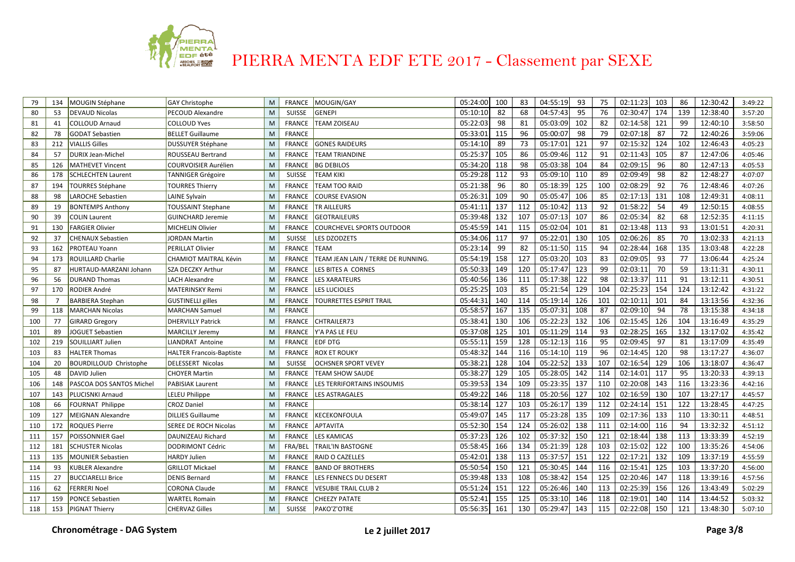

| 79  | 134            | MOUGIN Stéphane               | <b>GAY Christophe</b>           | M | <b>FRANCE</b> | MOUGIN/GAY                         | 05:24:00 | 100 | 83  | 04:55:19 | 93  | 75  | 02:11:23 | 103 | 86  | 12:30:42 | 3:49:22 |
|-----|----------------|-------------------------------|---------------------------------|---|---------------|------------------------------------|----------|-----|-----|----------|-----|-----|----------|-----|-----|----------|---------|
| 80  | 53             | <b>DEVAUD Nicolas</b>         | PECOUD Alexandre                | M | <b>SUISSE</b> | <b>GENEPI</b>                      | 05:10:10 | 82  | 68  | 04:57:43 | 95  | 76  | 02:30:47 | 174 | 139 | 12:38:40 | 3:57:20 |
| 81  | 41             | <b>COLLOUD Arnaud</b>         | <b>COLLOUD Yves</b>             | M | <b>FRANCE</b> | <b>TEAM ZOISEAU</b>                | 05:22:03 | 98  | 81  | 05:03:09 | 102 | 82  | 02:14:58 | 121 | 99  | 12:40:10 | 3:58:50 |
| 82  | 78             | <b>GODAT Sebastien</b>        | <b>BELLET Guillaume</b>         | M | <b>FRANCE</b> |                                    | 05:33:01 | 115 | 96  | 05:00:07 | 98  | 79  | 02:07:18 | 87  | 72  | 12:40:26 | 3:59:06 |
| 83  | 212            | <b>VIALLIS Gilles</b>         | DUSSUYER Stéphane               | M | <b>FRANCE</b> | <b>GONES RAIDEURS</b>              | 05:14:10 | 89  | 73  | 05:17:01 | 121 | 97  | 02:15:32 | 124 | 102 | 12:46:43 | 4:05:23 |
| 84  | 57             | <b>DURIX Jean-Michel</b>      | ROUSSEAU Bertrand               | M | <b>FRANCE</b> | <b>TEAM TRIANDINE</b>              | 05:25:37 | 105 | 86  | 05:09:46 | 112 | 91  | 02:11:43 | 105 | 87  | 12:47:06 | 4:05:46 |
| 85  | 126            | <b>MATHEVET Vincent</b>       | <b>COURVOISIER Aurélien</b>     | M | <b>FRANCE</b> | <b>BG DEBILOS</b>                  | 05:34:20 | 118 | 98  | 05:03:38 | 104 | 84  | 02:09:15 | 96  | 80  | 12:47:13 | 4:05:53 |
| 86  | 178            | <b>SCHLECHTEN Laurent</b>     | <b>TANNIGER Grégoire</b>        | M | SUISSE        | <b>TEAM KIKI</b>                   | 05:29:28 | 112 | 93  | 05:09:10 | 110 | 89  | 02:09:49 | 98  | 82  | 12:48:27 | 4:07:07 |
| 87  | 194            | <b>TOURRES Stéphane</b>       | <b>TOURRES Thierry</b>          | M | <b>FRANCE</b> | <b>TEAM TOO RAID</b>               | 05:21:38 | 96  | 80  | 05:18:39 | 125 | 100 | 02:08:29 | 92  | 76  | 12:48:46 | 4:07:26 |
| 88  | 98             | LAROCHE Sebastien             | LAINE Sylvain                   | M | <b>FRANCE</b> | <b>COURSE EVASION</b>              | 05:26:31 | 109 | 90  | 05:05:47 | 106 | 85  | 02:17:13 | 131 | 108 | 12:49:31 | 4:08:11 |
| 89  | 19             | <b>BONTEMPS Anthony</b>       | <b>TOUSSAINT Stephane</b>       | M | <b>FRANCE</b> | <b>TR AILLEURS</b>                 | 05:41:11 | 137 | 112 | 05:10:42 | 113 | 92  | 01:58:22 | 54  | 49  | 12:50:15 | 4:08:55 |
| 90  | 39             | COLIN Laurent                 | <b>GUINCHARD Jeremie</b>        | M | <b>FRANCE</b> | <b>GEOTRAILEURS</b>                | 05:39:48 | 132 | 107 | 05:07:13 | 107 | 86  | 02:05:34 | 82  | 68  | 12:52:35 | 4:11:15 |
| 91  | 130            | FARGIER Olivier               | <b>MICHELIN Olivier</b>         | M | <b>FRANCE</b> | <b>COURCHEVEL SPORTS OUTDOOR</b>   | 05:45:59 | 141 | 115 | 05:02:04 | 101 | 81  | 02:13:48 | 113 | 93  | 13:01:51 | 4:20:31 |
| 92  | 37             | CHENAUX Sebastien             | JORDAN Martin                   | M | <b>SUISSE</b> | LES DZODZETS                       | 05:34:06 | 117 | 97  | 05:22:01 | 130 | 105 | 02:06:26 | 85  | 70  | 13:02:33 | 4:21:13 |
| 93  | 162            | PROTEAU Yoann                 | PERILLAT Olivier                | M | <b>FRANCE</b> | <b>TEAM</b>                        | 05:23:14 | 99  | 82  | 05:11:50 | 115 | 94  | 02:28:44 | 168 | 135 | 13:03:48 | 4:22:28 |
| 94  | 173            | ROUILLARD Charlie             | CHAMIOT MAITRAL Kévin           | M | FRANCE        | TEAM JEAN LAIN / TERRE DE RUNNING. | 05:54:19 | 158 | 127 | 05:03:20 | 103 | 83  | 02:09:05 | 93  | 77  | 13:06:44 | 4:25:24 |
| 95  | 87             | HURTAUD-MARZANI Johann        | SZA DECZKY Arthur               | M | <b>FRANCE</b> | <b>LES BITES A CORNES</b>          | 05:50:33 | 149 | 120 | 05:17:47 | 123 | 99  | 02:03:11 | 70  | 59  | 13:11:31 | 4:30:11 |
| 96  | 56             | <b>DURAND Thomas</b>          | <b>LACH Alexandre</b>           | M | <b>FRANCE</b> | <b>LES XARATEURS</b>               | 05:40:56 | 136 | 111 | 05:17:38 | 122 | 98  | 02:13:37 | 111 | 91  | 13:12:11 | 4:30:51 |
| 97  | 170            | RODIER André                  | <b>MATERINSKY Remi</b>          | M | <b>FRANCE</b> | <b>LES LUCIOLES</b>                | 05:25:25 | 103 | 85  | 05:21:54 | 129 | 104 | 02:25:23 | 154 | 124 | 13:12:42 | 4:31:22 |
| 98  | $\overline{7}$ | <b>BARBIERA Stephan</b>       | <b>GUSTINELLI gilles</b>        | M | <b>FRANCE</b> | <b>TOURRETTES ESPRIT TRAIL</b>     | 05:44:31 | 140 | 114 | 05:19:14 | 126 | 101 | 02:10:11 | 101 | 84  | 13:13:56 | 4:32:36 |
| 99  | 118            | <b>MARCHAN Nicolas</b>        | <b>MARCHAN Samuel</b>           | M | <b>FRANCE</b> |                                    | 05:58:57 | 167 | 135 | 05:07:31 | 108 | 87  | 02:09:10 | 94  | 78  | 13:15:38 | 4:34:18 |
| 100 | 77             | <b>GIRARD Gregory</b>         | <b>DHERVILLY Patrick</b>        | M | <b>FRANCE</b> | <b>CHTRAILER73</b>                 | 05:38:41 | 130 | 106 | 05:22:23 | 132 | 106 | 02:15:45 | 126 | 104 | 13:16:49 | 4:35:29 |
| 101 | 89             | <b>JOGUET Sebastien</b>       | MARCILLY Jeremy                 | M | FRANCE        | Y'A PAS LE FEU                     | 05:37:08 | 125 | 101 | 05:11:29 | 114 | 93  | 02:28:25 | 165 | 132 | 13:17:02 | 4:35:42 |
| 102 | 219            | <b>SOUILLIART Julien</b>      | <b>LIANDRAT Antoine</b>         | M | FRANCE        | <b>EDF DTG</b>                     | 05:55:11 | 159 | 128 | 05:12:13 | 116 | 95  | 02:09:45 | 97  | 81  | 13:17:09 | 4:35:49 |
| 103 | 83             | <b>HALTER Thomas</b>          | <b>HALTER Francois-Baptiste</b> | M | <b>FRANCE</b> | <b>ROX ET ROUKY</b>                | 05:48:32 | 144 | 116 | 05:14:10 | 119 | 96  | 02:14:45 | 120 | 98  | 13:17:27 | 4:36:07 |
| 104 | 20             | <b>BOURDILLOUD Christophe</b> | DELESSERT Nicolas               | M | <b>SUISSE</b> | <b>OCHSNER SPORT VEVEY</b>         | 05:38:21 | 128 | 104 | 05:22:52 | 133 | 107 | 02:16:54 | 129 | 106 | 13:18:07 | 4:36:47 |
| 105 | 48             | DAVID Julien                  | <b>CHOYER Martin</b>            | M | <b>FRANCE</b> | <b>TEAM SHOW SAUDE</b>             | 05:38:27 | 129 | 105 | 05:28:05 | 142 | 114 | 02:14:01 | 117 | 95  | 13:20:33 | 4:39:13 |
| 106 | 148            | PASCOA DOS SANTOS Michel      | <b>PABISIAK Laurent</b>         | M | <b>FRANCE</b> | LES TERRIFORTAINS INSOUMIS         | 05:39:53 | 134 | 109 | 05:23:35 | 137 | 110 | 02:20:08 | 143 | 116 | 13:23:36 | 4:42:16 |
| 107 | 143            | PLUCISNKI Arnaud              | <b>LELEU Philippe</b>           | M | <b>FRANCE</b> | <b>LES ASTRAGALES</b>              | 05:49:22 | 146 | 118 | 05:20:56 | 127 | 102 | 02:16:59 | 130 | 107 | 13:27:17 | 4:45:57 |
| 108 | 66             | <b>FOURNAT Philippe</b>       | <b>CROZ Daniel</b>              | M | <b>FRANCE</b> |                                    | 05:38:14 | 127 | 103 | 05:26:17 | 139 | 112 | 02:24:14 | 151 | 122 | 13:28:45 | 4:47:25 |
| 109 | 127            | MEIGNAN Alexandre             | DILLIES Guillaume               | M | FRANCE        | KECEKONFOULA                       | 05:49:07 | 145 | 117 | 05:23:28 | 135 | 109 | 02:17:36 | 133 | 110 | 13:30:11 | 4:48:51 |
| 110 | 172            | <b>ROQUES Pierre</b>          | <b>SEREE DE ROCH Nicolas</b>    | M | <b>FRANCE</b> | <b>APTAVITA</b>                    | 05:52:30 | 154 | 124 | 05:26:02 | 138 | 111 | 02:14:00 | 116 | 94  | 13:32:32 | 4:51:12 |
| 111 | 157            | POISSONNIER Gael              | DAUNIZEAU Richard               | M | FRANCE        | <b>LES KAMICAS</b>                 | 05:37:23 | 126 | 102 | 05:37:32 | 150 | 121 | 02:18:44 | 138 | 113 | 13:33:39 | 4:52:19 |
| 112 | 181            | <b>SCHUSTER Nicolas</b>       | <b>DODRIMONT Cédric</b>         | M | FRA/BEL       | <b>TRAIL'IN BASTOGNE</b>           | 05:58:45 | 166 | 134 | 05:21:39 | 128 | 103 | 02:15:02 | 122 | 100 | 13:35:26 | 4:54:06 |
| 113 | 135            | <b>MOUNIER Sebastien</b>      | <b>HARDY Julien</b>             | M | <b>FRANCE</b> | <b>RAID O CAZELLES</b>             | 05:42:01 | 138 | 113 | 05:37:57 | 151 | 122 | 02:17:21 | 132 | 109 | 13:37:19 | 4:55:59 |
| 114 | 93             | KUBLER Alexandre              | <b>GRILLOT Mickael</b>          | M | <b>FRANCE</b> | <b>BAND OF BROTHERS</b>            | 05:50:54 | 150 | 121 | 05:30:45 | 144 | 116 | 02:15:41 | 125 | 103 | 13:37:20 | 4:56:00 |
| 115 | 27             | <b>BUCCIARELLI Brice</b>      | <b>DENIS Bernard</b>            | M | <b>FRANCE</b> | LES FENNECS DU DESERT              | 05:39:48 | 133 | 108 | 05:38:42 | 154 | 125 | 02:20:46 | 147 | 118 | 13:39:16 | 4:57:56 |
| 116 | 62             | FERRERI Noel                  | <b>CORONA Claude</b>            | M | <b>FRANCE</b> | <b>VESUBIE TRAIL CLUB 2</b>        | 05:51:24 | 151 | 122 | 05:26:46 | 140 | 113 | 02:25:39 | 156 | 126 | 13:43:49 | 5:02:29 |
| 117 | 159            | <b>PONCE Sebastien</b>        | WARTEL Romain                   | M | <b>FRANCE</b> | <b>CHEEZY PATATE</b>               | 05:52:41 | 155 | 125 | 05:33:10 | 146 | 118 | 02:19:01 | 140 | 114 | 13:44:52 | 5:03:32 |
| 118 |                | 153 PIGNAT Thierry            | <b>CHERVAZ Gilles</b>           | M | <b>SUISSE</b> | <b>PAKO'Z'OTRE</b>                 | 05:56:35 | 161 | 130 | 05:29:47 | 143 | 115 | 02:22:08 | 150 | 121 | 13:48:30 | 5:07:10 |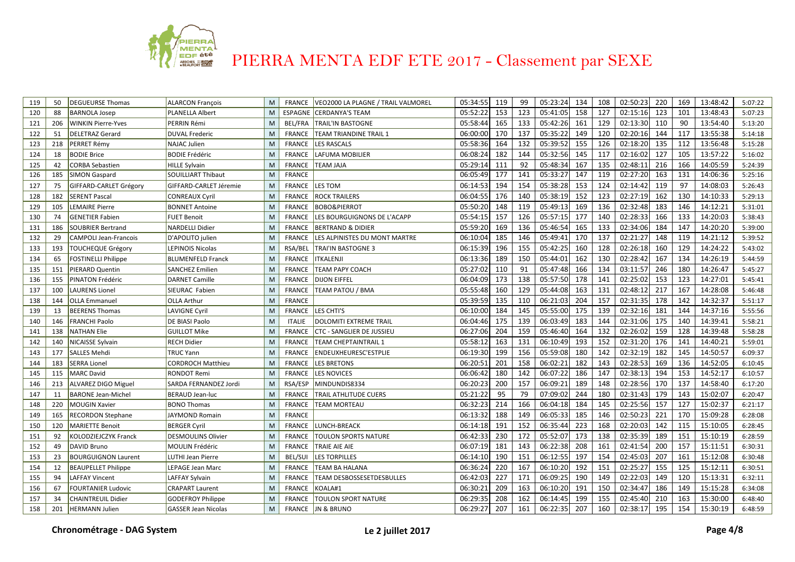

| 119 | 50  | <b>DEGUEURSE Thomas</b>      | <b>ALARCON François</b>    | M | FRANCE         | VEO2000 LA PLAGNE / TRAIL VALMOREL | 05:34:55 | 119 | 99  | 05:23:24 | 134 | 108 | 02:50:23 | 220 | 169 | 13:48:42 | 5:07:22 |
|-----|-----|------------------------------|----------------------------|---|----------------|------------------------------------|----------|-----|-----|----------|-----|-----|----------|-----|-----|----------|---------|
| 120 | 88  | <b>BARNOLA Josep</b>         | <b>PLANELLA Albert</b>     | M |                | ESPAGNE CERDANYA'S TEAM            | 05:52:22 | 153 | 123 | 05:41:05 | 158 | 127 | 02:15:16 | 123 | 101 | 13:48:43 | 5:07:23 |
| 121 | 206 | WINKIN Pierre-Yves           | PERRIN Rémi                | M | <b>BEL/FRA</b> | <b>TRAIL'IN BASTOGNE</b>           | 05:58:44 | 165 | 133 | 05:42:26 | 161 | 129 | 02:13:30 | 110 | 90  | 13:54:40 | 5:13:20 |
| 122 | 51  | <b>DELETRAZ Gerard</b>       | <b>DUVAL Frederic</b>      | M | <b>FRANCE</b>  | <b>TEAM TRIANDINE TRAIL 1</b>      | 06:00:00 | 170 | 137 | 05:35:22 | 149 | 120 | 02:20:16 | 144 | 117 | 13:55:38 | 5:14:18 |
| 123 | 218 | PERRET Rémy                  | <b>NAJAC Julien</b>        | M | <b>FRANCE</b>  | <b>LES RASCALS</b>                 | 05:58:36 | 164 | 132 | 05:39:52 | 155 | 126 | 02:18:20 | 135 | 112 | 13:56:48 | 5:15:28 |
| 124 | 18  | <b>BODIE Brice</b>           | <b>BODIE Frédéric</b>      | M | <b>FRANCE</b>  | LAFUMA MOBILIER                    | 06:08:24 | 182 | 144 | 05:32:56 | 145 | 117 | 02:16:02 | 127 | 105 | 13:57:22 | 5:16:02 |
| 125 | 42  | <b>CORBA Sebastien</b>       | <b>HILLE Sylvain</b>       | M | <b>FRANCE</b>  | <b>TEAM JAJA</b>                   | 05:29:14 | 111 | 92  | 05:48:34 | 167 | 135 | 02:48:11 | 216 | 166 | 14:05:59 | 5:24:39 |
| 126 | 185 | SIMON Gaspard                | SOUILLIART Thibaut         | M | <b>FRANCE</b>  |                                    | 06:05:49 | 177 | 141 | 05:33:27 | 147 | 119 | 02:27:20 | 163 | 131 | 14:06:36 | 5:25:16 |
| 127 | 75  | GIFFARD-CARLET Grégory       | GIFFARD-CARLET Jéremie     | M | <b>FRANCE</b>  | LES TOM                            | 06:14:53 | 194 | 154 | 05:38:28 | 153 | 124 | 02:14:42 | 119 | 97  | 14:08:03 | 5:26:43 |
| 128 | 182 | <b>SERENT Pascal</b>         | <b>CONREAUX Cyril</b>      | M | <b>FRANCE</b>  | <b>ROCK TRAILERS</b>               | 06:04:55 | 176 | 140 | 05:38:19 | 152 | 123 | 02:27:19 | 162 | 130 | 14:10:33 | 5:29:13 |
| 129 | 105 | <b>LEMAIRE Pierre</b>        | <b>BONNET Antoine</b>      | M | <b>FRANCE</b>  | <b>BOBO&amp;PIERROT</b>            | 05:50:20 | 148 | 119 | 05:49:13 | 169 | 136 | 02:32:48 | 183 | 146 | 14:12:21 | 5:31:01 |
| 130 | 74  | <b>GENETIER Fabien</b>       | <b>FUET Benoit</b>         | M | <b>FRANCE</b>  | LES BOURGUIGNONS DE L'ACAPP        | 05:54:15 | 157 | 126 | 05:57:15 | 177 | 140 | 02:28:33 | 166 | 133 | 14:20:03 | 5:38:43 |
| 131 | 186 | <b>SOUBRIER Bertrand</b>     | <b>NARDELLI Didier</b>     | M | <b>FRANCE</b>  | <b>BERTRAND &amp; DIDIER</b>       | 05:59:20 | 169 | 136 | 05:46:54 | 165 | 133 | 02:34:06 | 184 | 147 | 14:20:20 | 5:39:00 |
| 132 | 29  | <b>CAMPOLI Jean-Francois</b> | D'APOLITO julien           | M | <b>FRANCE</b>  | LES ALPINISTES DU MONT MARTRE      | 06:10:04 | 185 | 146 | 05:49:41 | 170 | 137 | 02:21:27 | 148 | 119 | 14:21:12 | 5:39:52 |
| 133 | 193 | <b>TOUCHEQUE Grégory</b>     | LEPINOIS Nicolas           | M | RSA/BEL        | TRAI'IN BASTOGNE 3                 | 06:15:39 | 196 | 155 | 05:42:25 | 160 | 128 | 02:26:18 | 160 | 129 | 14:24:22 | 5:43:02 |
| 134 | 65  | FOSTINELLI Philippe          | <b>BLUMENFELD Franck</b>   | M | <b>FRANCE</b>  | <b>ITKALENJI</b>                   | 06:13:36 | 189 | 150 | 05:44:01 | 162 | 130 | 02:28:42 | 167 | 134 | 14:26:19 | 5:44:59 |
| 135 | 151 | PIERARD Quentin              | <b>SANCHEZ Emilien</b>     | M | FRANCE         | <b>TEAM PAPY COACH</b>             | 05:27:02 | 110 | 91  | 05:47:48 | 166 | 134 | 03:11:57 | 246 | 180 | 14:26:47 | 5:45:27 |
| 136 | 155 | PINATON Frédéric             | <b>DARNET Camille</b>      | M | <b>FRANCE</b>  | <b>DIJON EIFFEL</b>                | 06:04:09 | 173 | 138 | 05:57:50 | 178 | 141 | 02:25:02 | 153 | 123 | 14:27:01 | 5:45:41 |
| 137 | 100 | <b>LAURENS Lionel</b>        | SIEURAC Fabien             | M | FRANCE         | <b>TEAM PATOU / BMA</b>            | 05:55:48 | 160 | 129 | 05:44:08 | 163 | 131 | 02:48:12 | 217 | 167 | 14:28:08 | 5:46:48 |
| 138 | 144 | <b>OLLA Emmanuel</b>         | <b>OLLA Arthur</b>         | M | <b>FRANCE</b>  |                                    | 05:39:59 | 135 | 110 | 06:21:03 | 204 | 157 | 02:31:35 | 178 | 142 | 14:32:37 | 5:51:17 |
| 139 | 13  | <b>BEERENS Thomas</b>        | <b>LAVIGNE Cyril</b>       | M | <b>FRANCE</b>  | LES CHTI'S                         | 06:10:00 | 184 | 145 | 05:55:00 | 175 | 139 | 02:32:16 | 181 | 144 | 14:37:16 | 5:55:56 |
| 140 | 146 | <b>FRANCHI Paolo</b>         | DE BIASI Paolo             | M | <b>ITALIE</b>  | <b>DOLOMITI EXTREME TRAIL</b>      | 06:04:46 | 175 | 139 | 06:03:49 | 183 | 144 | 02:31:06 | 175 | 140 | 14:39:41 | 5:58:21 |
| 141 | 138 | NATHAN Elie                  | <b>GUILLOT Mike</b>        | M | <b>FRANCE</b>  | <b>CTC - SANGLIER DE JUSSIEU</b>   | 06:27:06 | 204 | 159 | 05:46:40 | 164 | 132 | 02:26:02 | 159 | 128 | 14:39:48 | 5:58:28 |
| 142 | 140 | <b>NICAISSE Sylvain</b>      | RECH Didier                | M | <b>FRANCE</b>  | <b>TEAM CHEPTAINTRAIL 1</b>        | 05:58:12 | 163 | 131 | 06:10:49 | 193 | 152 | 02:31:20 | 176 | 141 | 14:40:21 | 5:59:01 |
| 143 | 177 | SALLES Mehdi                 | TRUC Yann                  | M | <b>FRANCE</b>  | <b>ENDEUXHEURESC'ESTPLIE</b>       | 06:19:30 | 199 | 156 | 05:59:08 | 180 | 142 | 02:32:19 | 182 | 145 | 14:50:57 | 6:09:37 |
| 144 | 183 | <b>SERRA Lionel</b>          | <b>CORDROCH Matthieu</b>   | M | <b>FRANCE</b>  | <b>LES BRETONS</b>                 | 06:20:51 | 201 | 158 | 06:02:21 | 182 | 143 | 02:28:53 | 169 | 136 | 14:52:05 | 6:10:45 |
| 145 | 115 | <b>MARC David</b>            | <b>RONDOT Remi</b>         | M | <b>FRANCE</b>  | LES NOVICES                        | 06:06:42 | 180 | 142 | 06:07:22 | 186 | 147 | 02:38:13 | 194 | 153 | 14:52:17 | 6:10:57 |
| 146 | 213 | <b>ALVAREZ DIGO Miguel</b>   | SARDA FERNANDEZ Jordi      | M | RSA/ESP        | MINDUNDIS8334                      | 06:20:23 | 200 | 157 | 06:09:21 | 189 | 148 | 02:28:56 | 170 | 137 | 14:58:40 | 6:17:20 |
| 147 | 11  | <b>BARONE Jean-Michel</b>    | <b>BERAUD Jean-luc</b>     | M | <b>FRANCE</b>  | <b>TRAIL ATHLITUDE CUERS</b>       | 05:21:22 | 95  | 79  | 07:09:02 | 244 | 180 | 02:31:43 | 179 | 143 | 15:02:07 | 6:20:47 |
| 148 | 220 | MOUGIN Xavier                | <b>BONO Thomas</b>         | M | <b>FRANCE</b>  | <b>TEAM MORTEAU</b>                | 06:32:23 | 214 | 166 | 06:04:18 | 184 | 145 | 02:25:56 | 157 | 127 | 15:02:37 | 6:21:17 |
| 149 | 165 | RECORDON Stephane            | JAYMOND Romain             | M | <b>FRANCE</b>  |                                    | 06:13:32 | 188 | 149 | 06:05:33 | 185 | 146 | 02:50:23 | 221 | 170 | 15:09:28 | 6:28:08 |
| 150 | 120 | <b>MARIETTE Benoit</b>       | <b>BERGER Cyril</b>        | M | FRANCE         | LUNCH-BREACK                       | 06:14:18 | 191 | 152 | 06:35:44 | 223 | 168 | 02:20:03 | 142 | 115 | 15:10:05 | 6:28:45 |
| 151 | 92  | KOLODZIEJCZYK Franck         | <b>DESMOULINS Olivier</b>  | M | <b>FRANCE</b>  | <b>TOULON SPORTS NATURE</b>        | 06:42:33 | 230 | 172 | 05:52:07 | 173 | 138 | 02:35:39 | 189 | 151 | 15:10:19 | 6:28:59 |
| 152 | 49  | <b>DAVID Bruno</b>           | MOULIN Frédéric            | M | <b>FRANCE</b>  | <b>TRAIE AIE AIE</b>               | 06:07:19 | 181 | 143 | 06:22:38 | 208 | 161 | 02:41:54 | 200 | 157 | 15:11:51 | 6:30:31 |
| 153 | 23  | <b>BOURGUIGNON Laurent</b>   | LUTHI Jean Pierre          | M | <b>BEL/SUI</b> | <b>LES TORPILLES</b>               | 06:14:10 | 190 | 151 | 06:12:55 | 197 | 154 | 02:45:03 | 207 | 161 | 15:12:08 | 6:30:48 |
| 154 | 12  | <b>BEAUPELLET Philippe</b>   | LEPAGE Jean Marc           | M | <b>FRANCE</b>  | <b>TEAM BA HALANA</b>              | 06:36:24 | 220 | 167 | 06:10:20 | 192 | 151 | 02:25:27 | 155 | 125 | 15:12:11 | 6:30:51 |
| 155 | 94  | <b>LAFFAY Vincent</b>        | LAFFAY Sylvain             | M | <b>FRANCE</b>  | <b>TEAM DESBOSSESETDESBULLES</b>   | 06:42:03 | 227 | 171 | 06:09:25 | 190 | 149 | 02:22:03 | 149 | 120 | 15:13:31 | 6:32:11 |
| 156 | 67  | FOURTANIER Ludovic           | CRAPART Laurent            | M | <b>FRANCE</b>  | KOALA#1                            | 06:30:21 | 209 | 163 | 06:10:20 | 191 | 150 | 02:34:47 | 186 | 149 | 15:15:28 | 6:34:08 |
| 157 | 34  | <b>CHAINTREUIL Didier</b>    | <b>GODEFROY Philippe</b>   | M | <b>FRANCE</b>  | <b>TOULON SPORT NATURE</b>         | 06:29:35 | 208 | 162 | 06:14:45 | 199 | 155 | 02:45:40 | 210 | 163 | 15:30:00 | 6:48:40 |
| 158 | 201 | <b>HERMANN Julien</b>        | <b>GASSER Jean Nicolas</b> | M |                | FRANCE IJN & BRUNO                 | 06:29:27 | 207 | 161 | 06:22:35 | 207 | 160 | 02:38:17 | 195 | 154 | 15:30:19 | 6:48:59 |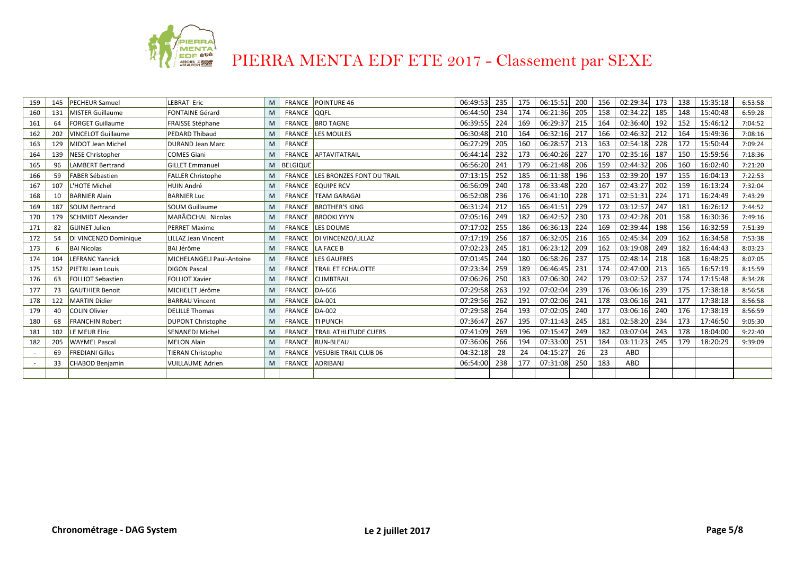

| 159 | 145 | <b>PECHEUR Samuel</b>     | <b>LEBRAT Eric</b>         | M | FRANCE          | POINTURE 46                             | 06:49:53 | 235 | 175 | 06:15:51 | 200 | 156 | 02:29:34 | 173 | 138 | 15:35:18 | 6:53:58 |
|-----|-----|---------------------------|----------------------------|---|-----------------|-----------------------------------------|----------|-----|-----|----------|-----|-----|----------|-----|-----|----------|---------|
| 160 | 131 | <b>MISTER Guillaume</b>   | <b>FONTAINE Gérard</b>     | M | <b>FRANCE</b>   | <b>QQFL</b>                             | 06:44:50 | 234 | 174 | 06:21:36 | 205 | 158 | 02:34:22 | 185 | 148 | 15:40:48 | 6:59:28 |
| 161 | 64  | <b>FORGET Guillaume</b>   | <b>FRAISSE Stéphane</b>    | M | <b>FRANCE</b>   | <b>BRO TAGNE</b>                        | 06:39:55 | 224 | 169 | 06:29:37 | 215 | 164 | 02:36:40 | 192 | 152 | 15:46:12 | 7:04:52 |
| 162 | 202 | <b>VINCELOT Guillaume</b> | <b>PEDARD Thibaud</b>      | M | <b>FRANCE</b>   | <b>LES MOULES</b>                       | 06:30:48 | 210 | 164 | 06:32:16 | 217 | 166 | 02:46:32 | 212 | 164 | 15:49:36 | 7:08:16 |
| 163 | 129 | <b>MIDOT Jean Michel</b>  | <b>DURAND Jean Marc</b>    | M | <b>FRANCE</b>   |                                         | 06:27:29 | 205 | 160 | 06:28:57 | 213 | 163 | 02:54:18 | 228 | 172 | 15:50:44 | 7:09:24 |
| 164 | 139 | <b>NESE Christopher</b>   | <b>COMES Giani</b>         | M | FRANCE          | APTAVITATRAIL                           | 06:44:14 | 232 | 173 | 06:40:26 | 227 | 170 | 02:35:16 | 187 | 150 | 15:59:56 | 7:18:36 |
| 165 | 96  | LAMBERT Bertrand          | <b>GILLET Emmanuel</b>     | M | <b>BELGIQUE</b> |                                         | 06:56:20 | 241 | 179 | 06:21:48 | 206 | 159 | 02:44:32 | 206 | 160 | 16:02:40 | 7:21:20 |
| 166 | 59  | <b>FABER Sébastien</b>    | <b>FALLER Christophe</b>   | M |                 | <b>FRANCE LES BRONZES FONT DU TRAIL</b> | 07:13:15 | 252 | 185 | 06:11:38 | 196 | 153 | 02:39:20 | 197 | 155 | 16:04:13 | 7:22:53 |
| 167 | 107 | <b>HOTE Michel</b>        | <b>HUIN André</b>          | M | FRANCE          | <b>EQUIPE RCV</b>                       | 06:56:09 | 240 | 178 | 06:33:48 | 220 | 167 | 02:43:27 | 202 | 159 | 16:13:24 | 7:32:04 |
| 168 | 10  | <b>BARNIER Alain</b>      | <b>BARNIER Luc</b>         | M | <b>FRANCE</b>   | <b>TEAM GARAGAI</b>                     | 06:52:08 | 236 | 176 | 06:41:10 | 228 | 171 | 02:51:31 | 224 | 171 | 16:24:49 | 7:43:29 |
| 169 | 187 | <b>SOUM Bertrand</b>      | <b>SOUM Guillaume</b>      | M | FRANCE          | <b>BROTHER'S KING</b>                   | 06:31:24 | 212 | 165 | 06:41:51 | 229 | 172 | 03:12:57 | 247 | 181 | 16:26:12 | 7:44:52 |
| 170 | 179 | <b>SCHMIDT Alexander</b>  | MARéCHAL Nicolas           | M | <b>FRANCE</b>   | BROOKLYYYN                              | 07:05:16 | 249 | 182 | 06:42:52 | 230 | 173 | 02:42:28 | 201 | 158 | 16:30:36 | 7:49:16 |
| 171 | 82  | <b>GUINET Julien</b>      | <b>PERRET Maxime</b>       | M | FRANCE          | LES DOUME                               | 07:17:02 | 255 | 186 | 06:36:13 | 224 | 169 | 02:39:44 | 198 | 156 | 16:32:59 | 7:51:39 |
| 172 | 54  | DI VINCENZO Dominique     | <b>LILLAZ Jean Vincent</b> | M | FRANCE          | DI VINCENZO/LILLAZ                      | 07:17:19 | 256 | 187 | 06:32:05 | 216 | 165 | 02:45:34 | 209 | 162 | 16:34:58 | 7:53:38 |
| 173 | 6   | <b>BAI Nicolas</b>        | <b>BAI Jérôme</b>          | M |                 | FRANCE LA FACE B                        | 07:02:23 | 245 | 181 | 06:23:12 | 209 | 162 | 03:19:08 | 249 | 182 | 16:44:43 | 8:03:23 |
| 174 | 104 | <b>LEFRANC Yannick</b>    | MICHELANGELI Paul-Antoine  | M | FRANCE          | LES GAUFRES                             | 07:01:45 | 244 | 180 | 06:58:26 | 237 | 175 | 02:48:14 | 218 | 168 | 16:48:25 | 8:07:05 |
| 175 | 152 | PIETRI Jean Louis         | <b>DIGON Pascal</b>        | M | <b>FRANCE</b>   | <b>TRAIL ET ECHALOTTE</b>               | 07:23:34 | 259 | 189 | 06:46:45 | 231 | 174 | 02:47:00 | 213 | 165 | 16:57:19 | 8:15:59 |
| 176 | 63  | <b>FOLLIOT Sebastien</b>  | <b>FOLLIOT Xavier</b>      | M | <b>FRANCE</b>   | <b>CLIMBTRAIL</b>                       | 07:06:26 | 250 | 183 | 07:06:30 | 242 | 179 | 03:02:52 | 237 | 174 | 17:15:48 | 8:34:28 |
| 177 | 73  | <b>GAUTHIER Benoit</b>    | MICHELET Jérôme            | M | <b>FRANCE</b>   | DA-666                                  | 07:29:58 | 263 | 192 | 07:02:04 | 239 | 176 | 03:06:16 | 239 | 175 | 17:38:18 | 8:56:58 |
| 178 | 122 | <b>MARTIN Didier</b>      | <b>BARRAU Vincent</b>      | M | <b>FRANCE</b>   | $DA-001$                                | 07:29:56 | 262 | 191 | 07:02:06 | 241 | 178 | 03:06:16 | 241 | 177 | 17:38:18 | 8:56:58 |
| 179 | 40  | <b>COLIN Olivier</b>      | <b>DELILLE Thomas</b>      | M | <b>FRANCE</b>   | $DA-002$                                | 07:29:58 | 264 | 193 | 07:02:05 | 240 | 177 | 03:06:16 | 240 | 176 | 17:38:19 | 8:56:59 |
| 180 | 68  | <b>FRANCHIN Robert</b>    | <b>DUPONT Christophe</b>   | M | <b>FRANCE</b>   | <b>TI PUNCH</b>                         | 07:36:47 | 267 | 195 | 07:11:43 | 245 | 181 | 02:58:20 | 234 | 173 | 17:46:50 | 9:05:30 |
| 181 | 102 | LE MEUR Elric             | <b>SENANEDJ Michel</b>     | M | <b>FRANCE</b>   | <b>TRAIL ATHLITUDE CUERS</b>            | 07:41:09 | 269 | 196 | 07:15:47 | 249 | 182 | 03:07:04 | 243 | 178 | 18:04:00 | 9:22:40 |
| 182 | 205 | <b>WAYMEL Pascal</b>      | <b>MELON Alain</b>         | M | <b>FRANCE</b>   | <b>RUN-BLEAU</b>                        | 07:36:06 | 266 | 194 | 07:33:00 | 251 | 184 | 03:11:23 | 245 | 179 | 18:20:29 | 9:39:09 |
|     | 69  | <b>FREDIANI Gilles</b>    | <b>TIERAN Christophe</b>   | M | <b>FRANCE</b>   | <b>VESUBLE TRAIL CLUB 06</b>            | 04:32:18 | 28  | 24  | 04:15:27 | 26  | 23  | ABD      |     |     |          |         |
|     | 33  | <b>CHABOD Benjamin</b>    | <b>VUILLAUME Adrien</b>    | M | <b>FRANCE</b>   | ADRIBANJ                                | 06:54:00 | 238 | 177 | 07:31:08 | 250 | 183 | ABD      |     |     |          |         |
|     |     |                           |                            |   |                 |                                         |          |     |     |          |     |     |          |     |     |          |         |
|     |     |                           |                            |   |                 |                                         |          |     |     |          |     |     |          |     |     |          |         |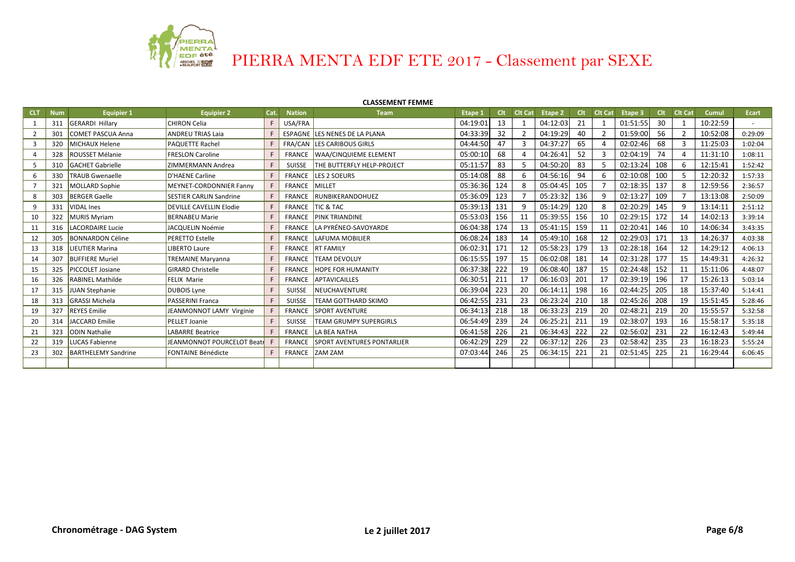

## **CLASSEMENT FEMME**

| <b>CLT</b> | <b>Num</b> | <b>Equipier 1</b>          | <b>Equipier 2</b>              | Cat. | <b>Nation</b>        | <b>Team</b>                              | Etape 1  |     |    | Clt Clt Cat Etape 2 |     | Clt Clt Cat | Etape 3  |     | Clt Clt Cat | <b>Cumul</b> | Ecart   |
|------------|------------|----------------------------|--------------------------------|------|----------------------|------------------------------------------|----------|-----|----|---------------------|-----|-------------|----------|-----|-------------|--------------|---------|
|            | 311        | <b>GERARDI Hillary</b>     | CHIRON Celia                   | F    | USA/FRA              |                                          | 04:19:01 | 13  |    | 04:12:03            | 21  |             | 01:51:55 | 30  |             | 10:22:59     |         |
|            | 301        | COMET PASCUA Anna          | <b>ANDREU TRIAS Laia</b>       |      |                      | ESPAGNE LES NENES DE LA PLANA            | 04:33:39 | 32  |    | 04:19:29            | 40  |             | 01:59:00 | 56  |             | 10:52:08     | 0:29:09 |
|            | 320        | MICHAUX Helene             | <b>PAQUETTE Rachel</b>         |      |                      | FRA/CAN LES CARIBOUS GIRLS               | 04:44:50 | 47  |    | 04:37:27            | 65  |             | 02:02:46 | 68  |             | 11:25:03     | 1:02:04 |
|            |            | 328 ROUSSET Mélanie        | <b>FRESLON Caroline</b>        |      |                      | FRANCE   WAA/CINQUIEME ELEMENT           | 05:00:10 | 68  |    | 04:26:41            | 52  |             | 02:04:19 | 74  |             | 11:31:10     | 1:08:11 |
|            |            | 310 GACHET Gabrielle       | ZIMMERMANN Andrea              |      |                      | SUISSE <b>THE BUTTERFLY HELP-PROJECT</b> | 05:11:57 | 83  | 5. | 04:50:20            | 83  | 5.          | 02:13:24 | 108 | 6           | 12:15:41     | 1:52:42 |
|            | 330        | <b>TRAUB Gwenaelle</b>     | D'HAENE Carline                |      |                      | <b>FRANCE LES 2 SOEURS</b>               | 05:14:08 | 88  | 6  | 04:56:16            | 94  | 6           | 02:10:08 | 100 |             | 12:20:32     | 1:57:33 |
|            | 321        | MOLLARD Sophie             | MEYNET-CORDONNIER Fanny        |      | <b>FRANCE MILLET</b> |                                          | 05:36:36 | 124 | 8  | 05:04:45            | 105 |             | 02:18:35 | 137 |             | 12:59:56     | 2:36:57 |
|            | 303        | <b>BERGER Gaelle</b>       | <b>SESTIER CARLIN Sandrine</b> |      |                      | FRANCE RUNBIKERANDOHUEZ                  | 05:36:09 | 123 |    | 05:23:32            | 136 |             | 02:13:27 | 109 |             | 13:13:08     | 2:50:09 |
|            | 331        | <b>VIDAL</b> Ines          | <b>DEVILLE CAVELLIN Elodie</b> |      |                      | <b>FRANCE TIC &amp; TAC</b>              | 05:39:13 | 131 |    | 05:14:29            | 120 | 8           | 02:20:29 | 145 |             | 13:14:11     | 2:51:12 |
| 10         |            | 322 MURIS Myriam           | <b>BERNABEU Marie</b>          |      |                      | <b>FRANCE PINK TRIANDINE</b>             | 05:53:03 | 156 | 11 | 05:39:55            | 156 | 10          | 02:29:15 | 172 | 14          | 14:02:13     | 3:39:14 |
| 11         | 316        | LACORDAIRE Lucie           | JACQUELIN Noémie               |      |                      | FRANCE LA PYRÉNEO-SAVOYARDE              | 06:04:38 | 174 | 13 | 05:41:15            | 159 | 11          | 02:20:41 | 146 | 10          | 14:06:34     | 3:43:35 |
| 12         | 305        | <b>BONNARDON Céline</b>    | <b>PERETTO Estelle</b>         |      |                      | <b>FRANCE LAFUMA MOBILIER</b>            | 06:08:24 | 183 | 14 | 05:49:10            | 168 | 12          | 02:29:03 | 171 | 13          | 14:26:37     | 4:03:38 |
| 13         | 318        | <b>LIEUTIER Marina</b>     | <b>LIBERTO Laure</b>           |      |                      | FRANCE <b>IRT FAMILY</b>                 | 06:02:31 | 171 | 12 | 05:58:23            | 179 | 13          | 02:28:18 | 164 | 12          | 14:29:12     | 4:06:13 |
| 14         | 307        | <b>BUFFIERE Muriel</b>     | <b>TREMAINE Maryanna</b>       |      |                      | FRANCE TEAM DEVOLUY                      | 06:15:55 | 197 | 15 | 06:02:08            | 181 | 14          | 02:31:28 | 177 | 15          | 14:49:31     | 4:26:32 |
| 15         | 325        | <b>PICCOLET Josiane</b>    | <b>GIRARD Christelle</b>       |      |                      | <b>FRANCE HOPE FOR HUMANITY</b>          | 06:37:38 | 222 | 19 | 06:08:40            | 187 | 15          | 02:24:48 | 152 | 11          | 15:11:06     | 4:48:07 |
| 16         | 326        | <b>RABINEL Mathilde</b>    | <b>FELIX Marie</b>             |      |                      | FRANCE APTAVICAILLES                     | 06:30:51 | 211 | 17 | 06:16:03            | 201 | 17          | 02:39:19 | 196 | 17          | 15:26:13     | 5:03:14 |
| 17         | 315        | JUAN Stephanie             | <b>DUBOIS Lyne</b>             |      | <b>SUISSE</b>        | <b>NEUCHAVENTURE</b>                     | 06:39:04 | 223 | 20 | 06:14:11            | 198 | 16          | 02:44:25 | 205 | 18          | 15:37:40     | 5:14:41 |
| 18         | 313        | <b>GRASSI Michela</b>      | <b>PASSERINI Franca</b>        |      | SUISSE               | <b>ITEAM GOTTHARD SKIMO</b>              | 06:42:55 | 231 | 23 | 06:23:24            | 210 | 18          | 02:45:26 | 208 | 19          | 15:51:45     | 5:28:46 |
| 19         | 327        | <b>REYES</b> Emilie        | JEANMONNOT LAMY Virginie       |      | FRANCE               | <b>SPORT AVENTURE</b>                    | 06:34:13 | 218 | 18 | 06:33:23            | 219 | 20          | 02:48:21 | 219 | 20          | 15:55:57     | 5:32:58 |
| 20         | 314        | JACCARD Emilie             | PELLET Joanie                  |      |                      | SUISSE   TEAM GRUMPY SUPERGIRLS          | 06:54:49 | 239 | 24 | 06:25:21            | 211 | 19          | 02:38:07 | 193 | 16          | 15:58:17     | 5:35:18 |
| 21         | 323        | <b>ODIN Nathalie</b>       | <b>LABARRE Beatrice</b>        |      |                      | FRANCE LA BEA NATHA                      | 06:41:58 | 226 | 21 | 06:34:43            | 222 | 22          | 02:56:02 | 231 | 22          | 16:12:43     | 5:49:44 |
| 22         | 319        | LUCAS Fabienne             | JEANMONNOT POURCELOT Beatr     |      |                      | FRANCE SPORT AVENTURES PONTARLIER        | 06:42:29 | 229 | 22 | 06:37:12            | 226 | 23          | 02:58:42 | 235 | 23          | 16:18:23     | 5:55:24 |
| 23         | 302        | <b>BARTHELEMY Sandrine</b> | <b>FONTAINE Bénédicte</b>      |      |                      | FRANCE ZAM ZAM                           | 07:03:44 | 246 | 25 | 06:34:15            | 221 | 21          | 02:51:45 | 225 | 21          | 16:29:44     | 6:06:45 |
|            |            |                            |                                |      |                      |                                          |          |     |    |                     |     |             |          |     |             |              |         |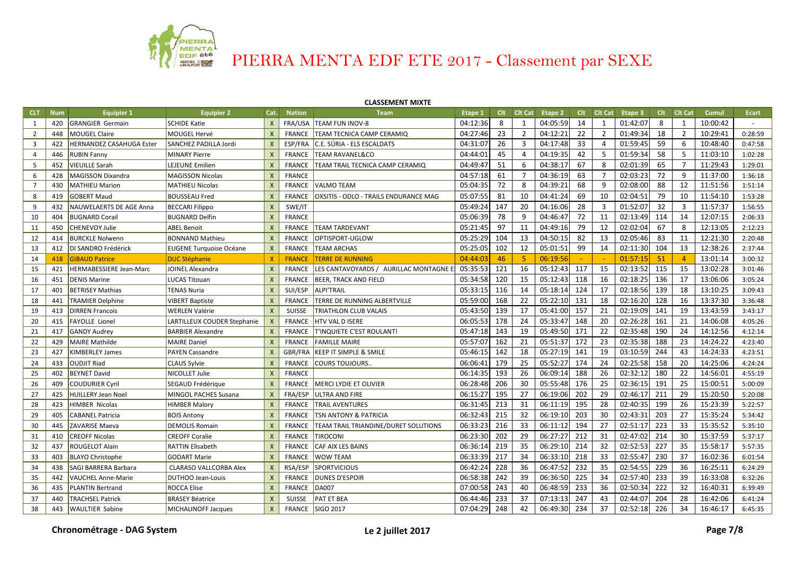

## **CLASSEMENT MIXTE**

| <b>CLT</b>     | <b>Num</b> | <b>Equipier 1</b>               | <b>Equipier 2</b>              | Cat.                      | <b>Nation</b> | <b>Team</b>                            | Etape 1  | <b>Clt</b> | Cit Cat        | Etape 2      | Clt | <b>Clt Cat</b> | Etape 3  | <b>Clt</b> | <b>Clt Cat</b> | Cumul    | Ecart   |
|----------------|------------|---------------------------------|--------------------------------|---------------------------|---------------|----------------------------------------|----------|------------|----------------|--------------|-----|----------------|----------|------------|----------------|----------|---------|
| 1              | 420        | <b>GRANGIER Germain</b>         | <b>SCHIDE Katie</b>            | $\mathsf{x}$              |               | FRA/USA TEAM FUN INOV-8                | 04:12:36 | 8          | 1              | 04:05:59     | 14  | 1              | 01:42:07 | 8          | 1              | 10:00:42 |         |
| $\overline{2}$ | 448        | <b>MOUGEL Claire</b>            | MOUGEL Hervé                   | $\mathsf{x}$              | <b>FRANCE</b> | <b>TEAM TECNICA CAMP CERAMIQ</b>       | 04:27:46 | 23         | $\overline{2}$ | 04:12:21     | 22  | $\overline{2}$ | 01:49:34 | 18         | $\overline{2}$ | 10:29:41 | 0:28:59 |
| $\overline{3}$ | 422        | <b>IERNANDEZ CASAHUGA Ester</b> | <b>SANCHEZ PADILLA Jordi</b>   | $\mathsf{X}$              | ESP/FRA       | C.E. SÚRIA - ELS ESCALDATS             | 04:31:07 | 26         | 3              | 04:17:48     | 33  | $\overline{4}$ | 01:59:45 | 59         | 6              | 10:48:40 | 0:47:58 |
| $\overline{a}$ | 446        | <b>RUBIN Fanny</b>              | <b>MINARY Pierre</b>           | $\mathsf{X}$              | <b>FRANCE</b> | <b>TEAM RAVANEL&amp;CO</b>             | 04:44:01 | 45         | $\overline{4}$ | 04:19:35     | 42  | 5              | 01:59:34 | 58         | 5              | 11:03:10 | 1:02:28 |
| 5              | 452        | VIEUILLE Sarah                  | <b>LEJEUNE Emilien</b>         | $\mathsf{X}$              | <b>FRANCE</b> | TEAM TRAIL TECNICA CAMP CERAMIQ        | 04:49:47 | 51         | 6              | 04:38:17     | 67  | 8              | 02:01:39 | 65         | $\overline{7}$ | 11:29:43 | 1:29:01 |
| 6              | 428        | MAGISSON Dixandra               | <b>MAGISSON Nicolas</b>        | $\mathsf{X}$              | <b>FRANCE</b> |                                        | 04:57:18 | 61         | 7              | 04:36:19     | 63  | $\overline{7}$ | 02:03:23 | 72         | 9              | 11:37:00 | 1:36:18 |
| $\overline{7}$ | 430        | <b>MATHIEU Marion</b>           | <b>MATHIEU Nicolas</b>         | $\boldsymbol{\mathsf{X}}$ | FRANCE        | VALMO TEAM                             | 05:04:35 | 72         | 8              | 04:39:21     | 68  | 9              | 02:08:00 | 88         | 12             | 11:51:56 | 1:51:14 |
| 8              | 419        | <b>GOBERT Maud</b>              | <b>BOUSSEAU Fred</b>           | $\mathsf{X}$              | <b>FRANCE</b> | OXSITIS - ODLO - TRAILS ENDURANCE MAG  | 05:07:55 | 81         | 10             | 04:41:24     | 69  | 10             | 02:04:51 | 79         | 10             | 11:54:10 | 1:53:28 |
| 9              | 432        | NAUWELAERTS DE AGE Anna         | <b>BECCARI Filippo</b>         | $\mathsf{x}$              | SWE/IT        |                                        | 05:49:24 | 147        | 20             | 04:16:06     | 28  | 3              | 01:52:07 | 32         | 3              | 11:57:37 | 1:56:55 |
| 10             | 404        | <b>BUGNARD Corail</b>           | <b>BUGNARD Delfin</b>          | $\mathsf{X}$              | <b>FRANCE</b> |                                        | 05:06:39 | 78         | 9              | 04:46:47     | 72  | 11             | 02:13:49 | 114        | 14             | 12:07:15 | 2:06:33 |
| 11             | 450        | CHENEVOY Julie                  | <b>ABEL Benoit</b>             | $\mathsf{X}$              | <b>FRANCE</b> | <b>TEAM TARDEVANT</b>                  | 05:21:45 | 97         | 11             | 04:49:16     | 79  | 12             | 02:02:04 | 67         | 8              | 12:13:05 | 2:12:23 |
| 12             | 414        | <b>BURCKLE Nolwenn</b>          | <b>BONNAND Mathieu</b>         | $\mathsf{X}$              | <b>FRANCE</b> | OPTISPORT-UGLOW                        | 05:25:29 | 104        | 13             | 04:50:15     | 82  | 13             | 02:05:46 | 83         | 11             | 12:21:30 | 2:20:48 |
| 13             | 412        | DI SANDRO Frédérick             | <b>EUGENE Turquoise Océane</b> | $\mathsf{X}$              | <b>FRANCE</b> | <b>TEAM ARCHAS</b>                     | 05:25:05 | 102        | 12             | 05:01:51     | 99  | 14             | 02:11:30 | 104        | 13             | 12:38:26 | 2:37:44 |
| 14             | 418        | <b>GIBAUD Patrice</b>           | <b>DUC Stéphanie</b>           | $\mathsf{x}$              | <b>FRANCE</b> | <b>TERRE DE RUNNING</b>                | 04:44:03 | 46         | 5.             | 06:19:56     |     |                | 01:57:15 | 51         | $\overline{4}$ | 13:01:14 | 3:00:32 |
| 15             | 421        | HERMABESSIERE Jean-Marc         | <b>JOINEL Alexandra</b>        | $\mathsf{x}$              | <b>FRANCE</b> | LES CANTAVOYARDS / AURILLAC MONTAGNE E | 05:35:53 | 121        | 16             | 05:12:43     | 117 | 15             | 02:13:52 | 115        | 15             | 13:02:28 | 3:01:46 |
| 16             | 451        | <b>DENIS Marine</b>             | <b>LUCAS Titouan</b>           | $\mathsf{X}$              | <b>FRANCE</b> | <b>BEER, TRACK AND FIELD</b>           | 05:34:58 | 120        | 15             | 05:12:43     | 118 | 16             | 02:18:25 | 136        | 17             | 13:06:06 | 3:05:24 |
| 17             | 401        | <b>BETRISEY Mathias</b>         | <b>TENAS Nuria</b>             | $\mathsf{X}$              | SUI/ESP       | <b>ALPI'TRAIL</b>                      | 05:33:15 | 116        | 14             | 05:18:14     | 124 | 17             | 02:18:56 | 139        | 18             | 13:10:25 | 3:09:43 |
| 18             | 441        | <b>TRAMIER Delphine</b>         | <b>VIBERT Baptiste</b>         | $\mathsf{X}$              | <b>FRANCE</b> | TERRE DE RUNNING ALBERTVILLE           | 05:59:00 | 168        | 22             | 05:22:10     | 131 | 18             | 02:16:20 | 128        | 16             | 13:37:30 | 3:36:48 |
| 19             | 413        | <b>DIRREN Francois</b>          | <b>WERLEN Valérie</b>          | $\mathsf{X}$              | <b>SUISSE</b> | TRIATHLON CLUB VALAIS                  | 05:43:50 | 139        | 17             | 05:41:00     | 157 | 21             | 02:19:09 | 141        | 19             | 13:43:59 | 3:43:17 |
| 20             | 415        | <b>FAYOLLE Lionel</b>           | LARTILLEUX COUDER Stephanie    | $\mathsf{X}$              | <b>FRANCE</b> | HTV VAL D ISERE                        | 06:05:53 | 178        | 24             | 05:33:47     | 148 | 20             | 02:26:28 | 161        | 21             | 14:06:08 | 4:05:26 |
| 21             | 417        | <b>GANDY Audrey</b>             | <b>BARBIER Alexandre</b>       | $\mathsf{X}$              | <b>FRANCE</b> | T'INQUIETE C'EST ROULANT!              | 05:47:18 | 143        | 19             | 05:49:50     | 171 | 22             | 02:35:48 | 190        | 24             | 14:12:56 | 4:12:14 |
| 22             | 429        | <b>MAIRE Mathilde</b>           | <b>MAIRE Daniel</b>            | $\mathsf{x}$              | FRANCE        | <b>FAMILLE MAIRE</b>                   | 05:57:07 | 162        | 21             | 05:51:37     | 172 | 23             | 02:35:38 | 188        | 23             | 14:24:22 | 4:23:40 |
| 23             | 427        | <b>KIMBERLEY James</b>          | <b>PAYEN Cassandre</b>         | X                         |               | GBR/FRA KEEP IT SIMPLE & SMILE         | 05:46:15 | 142        | 18             | 05:27:19     | 141 | 19             | 03:10:59 | 244        | 43             | 14:24:33 | 4:23:51 |
| 24             | 433        | <b>OUDJIT Riad</b>              | <b>CLAUS Sylvie</b>            | X                         | FRANCE        | <b>COURS TOUJOURS.</b>                 | 06:06:41 | 179        | 25             | 05:52:27     | 174 | 24             | 02:25:58 | 158        | 20             | 14:25:06 | 4:24:24 |
| 25             | 402        | <b>BEYNET David</b>             | NICOLLET Julie                 | $\boldsymbol{X}$          | <b>FRANCE</b> |                                        | 06:14:35 | 193        | 26             | 06:09:14     | 188 | 26             | 02:32:12 | 180        | 22             | 14:56:01 | 4:55:19 |
| 26             | 409        | <b>COUDURIER Cyril</b>          | SEGAUD Frédérique              | $\mathsf{X}$              | <b>FRANCE</b> | <b>MERCI LYDIE ET OLIVIER</b>          | 06:28:48 | 206        | 30             | 05:55:48 176 |     | 25             | 02:36:15 | 191        | 25             | 15:00:51 | 5:00:09 |
| 27             | 425        | IUILLERY Jean Noel              | MINGOL PACHES Susana           | $\boldsymbol{X}$          | FRA/ESP       | ULTRA AND FIRE                         | 06:15:27 | 195        | 27             | 06:19:06     | 202 | 29             | 02:46:17 | 211        | 29             | 15:20:50 | 5:20:08 |
| 28             | 423        | <b>HIMBER Nicolas</b>           | <b>HIMBER Malory</b>           | $\mathsf{X}$              | <b>FRANCE</b> | <b>TRAIL AVENTURES</b>                 | 06:31:45 | 213        | 31             | 06:11:19     | 195 | 28             | 02:40:35 | 199        | 26             | 15:23:39 | 5:22:57 |
| 29             | 405        | <b>CABANEL Patricia</b>         | <b>BOIS Antony</b>             | $\mathsf{X}$              | <b>FRANCE</b> | <b>TSN ANTONY &amp; PATRICIA</b>       | 06:32:43 | 215        | 32             | 06:19:10     | 203 | 30             | 02:43:31 | 203        | 27             | 15:35:24 | 5:34:42 |
| 30             | 445        | ZAVARISE Maeva                  | <b>DEMOLIS Romain</b>          | $\mathsf{X}$              | <b>FRANCE</b> | TEAM TRAIL TRIANDINE/DURET SOLUTIONS   | 06:33:23 | 216        | 33             | 06:11:12     | 194 | 27             | 02:51:17 | 223        | 33             | 15:35:52 | 5:35:10 |
| 31             | 410        | <b>CREOFF Nicolas</b>           | <b>CREOFF Coralie</b>          | $\mathsf{X}$              | <b>FRANCE</b> | <b>TIROCONI</b>                        | 06:23:30 | 202        | 29             | 06:27:27     | 212 | 31             | 02:47:02 | 214        | 30             | 15:37:59 | 5:37:17 |
| 32             | 437        | ROUGELOT Alain                  | <b>RATTIN Elisabeth</b>        | $\mathsf{X}$              | <b>FRANCE</b> | <b>CAF AIX LES BAINS</b>               | 06:36:14 | 219        | 35             | 06:29:10     | 214 | 32             | 02:52:53 | 227        | 35             | 15:58:17 | 5:57:35 |
| 33             | 403        | <b>BLAYO Christophe</b>         | <b>GODART Marie</b>            | $\mathsf{X}$              | <b>FRANCE</b> | <b>WOW TEAM</b>                        | 06:33:39 | 217        | 34             | 06:33:10     | 218 | 33             | 02:55:47 | 230        | 37             | 16:02:36 | 6:01:54 |
| 34             | 438        | SAGI BARRERA Barbara            | <b>CLARASO VALLCORBA Alex</b>  | $\mathsf{X}$              | RSA/ESP       | <b>SPORTVICIOUS</b>                    | 06:42:24 | 228        | 36             | 06:47:52     | 232 | 35             | 02:54:55 | 229        | 36             | 16:25:11 | 6:24:29 |
| 35             | 442        | <b>VAUCHEL Anne-Marie</b>       | <b>DUTHOO Jean-Louis</b>       | $\mathsf{X}$              | FRANCE        | <b>DUNES D'ESPOIR</b>                  | 06:58:38 | 242        | 39             | 06:36:50     | 225 | 34             | 02:57:40 | 233        | 39             | 16:33:08 | 6:32:26 |
| 36             | 435        | <b>PLANTIN Bertrand</b>         | <b>ROCCA Elise</b>             | X                         | FRANCE        | <b>DA007</b>                           | 07:00:58 | 243        | 40             | 06:48:59     | 233 | 36             | 02:50:34 | 222        | 32             | 16:40:31 | 6:39:49 |
| 37             | 440        | <b>TRACHSEL Patrick</b>         | <b>BRASEY Béatrice</b>         | X                         | <b>SUISSE</b> | <b>PAT ET BEA</b>                      | 06:44:46 | 233        | 37             | 07:13:13     | 247 | 43             | 02:44:07 | 204        | 28             | 16:42:06 | 6:41:24 |
| 38             | 443        | <b>WAULTIER Sabine</b>          | <b>MICHALINOFF Jacques</b>     | X                         | FRANCE        | SIGO 2017                              | 07:04:29 | 248        | 42             | 06:49:30     | 234 | 37             | 02:52:18 | 226        | 34             | 16:46:17 | 6:45:35 |